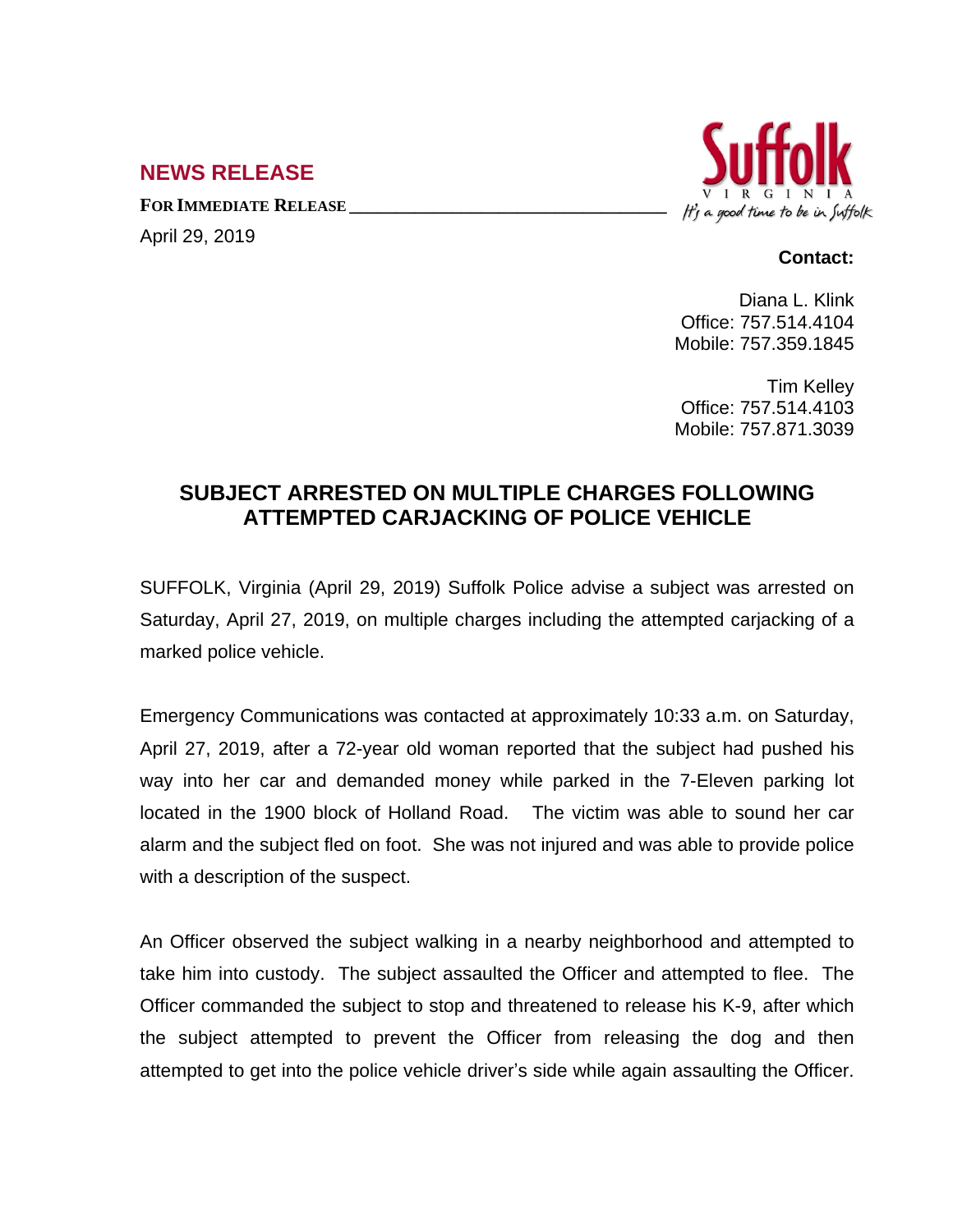## **NEWS RELEASE**

**FOR IMMEDIATE RELEASE \_\_\_\_\_\_\_\_\_\_\_\_\_\_\_\_\_\_\_\_\_\_\_\_\_\_\_\_\_\_\_\_\_\_**

April 29, 2019



## **Contact:**

Diana L. Klink Office: 757.514.4104 Mobile: 757.359.1845

Tim Kelley Office: 757.514.4103 Mobile: 757.871.3039

## **SUBJECT ARRESTED ON MULTIPLE CHARGES FOLLOWING ATTEMPTED CARJACKING OF POLICE VEHICLE**

SUFFOLK, Virginia (April 29, 2019) Suffolk Police advise a subject was arrested on Saturday, April 27, 2019, on multiple charges including the attempted carjacking of a marked police vehicle.

Emergency Communications was contacted at approximately 10:33 a.m. on Saturday, April 27, 2019, after a 72-year old woman reported that the subject had pushed his way into her car and demanded money while parked in the 7-Eleven parking lot located in the 1900 block of Holland Road. The victim was able to sound her car alarm and the subject fled on foot. She was not injured and was able to provide police with a description of the suspect.

An Officer observed the subject walking in a nearby neighborhood and attempted to take him into custody. The subject assaulted the Officer and attempted to flee. The Officer commanded the subject to stop and threatened to release his K-9, after which the subject attempted to prevent the Officer from releasing the dog and then attempted to get into the police vehicle driver's side while again assaulting the Officer.